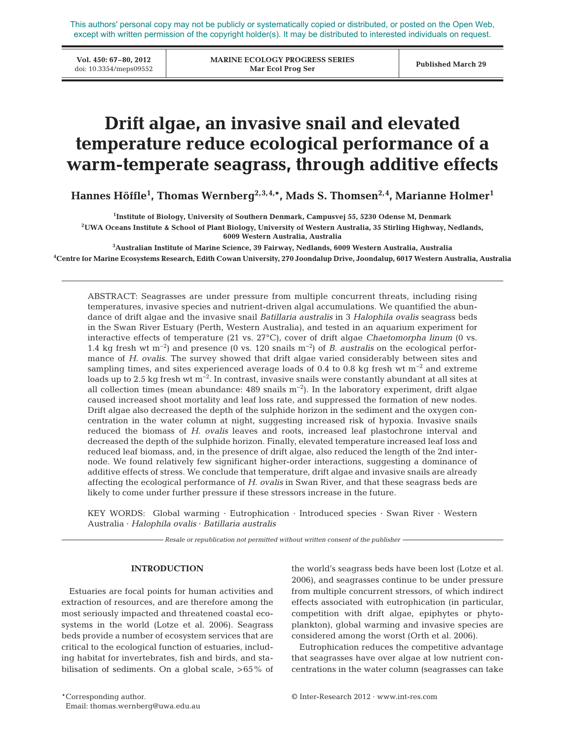This authors' personal copy may not be publicly or systematically copied or distributed, or posted on the Open Web, except with written permission of the copyright holder(s). It may be distributed to interested individuals on request.

**Vol. 450: 67–80, 2012**

**MARINE ECOLOGY PROGRESS SERIES Mar Ecol Prog Ser** VOL 450: 07-80, 2012<br>doi: 10.3354/meps09552 **Published March 29**<br>Mar Ecol Prog Ser **Published March 29** 

# **Drift algae, an invasive snail and elevated temperature reduce ecological performance of a warm-temperate seagrass, through additive effects**

**Hannes Höffle1 , Thomas Wernberg2,3,4,\*, Mads S. Thomsen2,4, Marianne Holmer1**

**1 Institute of Biology, University of Southern Denmark, Campusvej 55, 5230 Odense M, Denmark**

**2UWA Oceans Institute & School of Plant Biology, University of Western Australia, 35 Stirling Highway, Nedlands, 6009 Western Australia, Australia**

**3 Australian Institute of Marine Science, 39 Fairway, Nedlands, 6009 Western Australia, Australia**

**4 Centre for Marine Ecosystems Research, Edith Cowan University, 270 Joondalup Drive, Joondalup, 6017 Western Australia, Australia**

ABSTRACT: Seagrasses are under pressure from multiple concurrent threats, including rising temperatures, invasive species and nutrient-driven algal accumulations. We quantified the abundance of drift algae and the invasive snail *Batillaria australis* in 3 *Halophila ovalis* seagrass beds in the Swan River Estuary (Perth, Western Australia), and tested in an aquarium experiment for interactive effects of temperature (21 vs. 27°C), cover of drift algae *Chaetomorpha linum* (0 vs. 1.4 kg fresh wt m−2) and presence (0 vs. 120 snails m−2) of *B. australis* on the ecological performance of *H. ovalis*. The survey showed that drift algae varied considerably between sites and sampling times, and sites experienced average loads of 0.4 to 0.8 kg fresh wt m<sup>-2</sup> and extreme loads up to 2.5 kg fresh wt m−2. In contrast, invasive snails were constantly abundant at all sites at all collection times (mean abundance:  $489$  snails m<sup>-2</sup>). In the laboratory experiment, drift algae caused increased shoot mortality and leaf loss rate, and suppressed the formation of new nodes. Drift algae also decreased the depth of the sulphide horizon in the sediment and the oxygen concentration in the water column at night, suggesting increased risk of hypoxia. Invasive snails reduced the biomass of *H. ovalis* leaves and roots, increased leaf plastochrone interval and decreased the depth of the sulphide horizon. Finally, elevated temperature increased leaf loss and reduced leaf biomass, and, in the presence of drift algae, also reduced the length of the 2nd inter node. We found relatively few significant higher-order interactions, suggesting a dominance of additive effects of stress. We conclude that temperature, drift algae and invasive snails are already affecting the ecological performance of *H. ovalis* in Swan River, and that these seagrass beds are likely to come under further pressure if these stressors increase in the future.

KEY WORDS: Global warming · Eutrophication · Introduced species · Swan River · Western Australia · *Halophila ovalis* · *Batillaria australis*

*Resale or republication not permitted without written consent of the publisher*

# **INTRODUCTION**

Estuaries are focal points for human activities and extraction of resources, and are therefore among the most seriously impacted and threatened coastal ecosystems in the world (Lotze et al. 2006). Seagrass beds provide a number of ecosystem services that are critical to the ecological function of estuaries, including habitat for invertebrates, fish and birds, and stabilisation of sediments. On a global scale, > 65% of the world's seagrass beds have been lost (Lotze et al. 2006), and seagrasses continue to be under pressure from multiple concurrent stressors, of which indirect effects associated with eutrophication (in particular, competition with drift algae, epiphytes or phytoplankton), global warming and invasive species are considered among the worst (Orth et al. 2006).

Eutrophication reduces the competitive advantage that seagrasses have over algae at low nutrient concentrations in the water column (seagrasses can take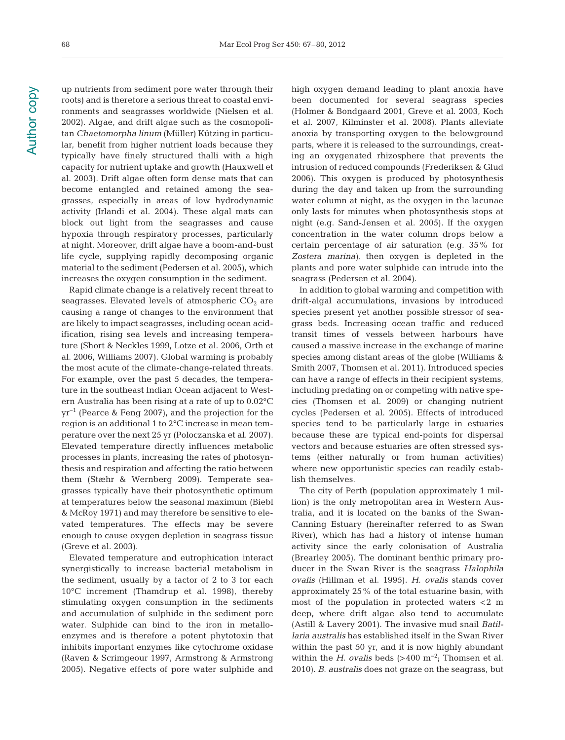up nutrients from sediment pore water through their roots) and is therefore a serious threat to coastal environments and seagrasses worldwide (Nielsen et al. 2002). Algae, and drift algae such as the cosmopolitan *Chaetomorpha linum* (Müller) Kützing in particular, benefit from higher nutrient loads because they typically have finely structured thalli with a high capacity for nutrient uptake and growth (Hauxwell et al. 2003). Drift algae often form dense mats that can become entangled and retained among the seagrasses, especially in areas of low hydrodynamic activity (Irlandi et al. 2004). These algal mats can block out light from the seagrasses and cause hypoxia through respiratory processes, particularly at night. Moreover, drift algae have a boom-and-bust life cycle, supplying rapidly decomposing organic material to the sediment (Pedersen et al. 2005), which increases the oxygen consumption in the sediment.

Rapid climate change is a relatively recent threat to seagrasses. Elevated levels of atmospheric  $CO<sub>2</sub>$  are causing a range of changes to the environment that are likely to impact seagrasses, including ocean acidification, rising sea levels and increasing temperature (Short & Neckles 1999, Lotze et al. 2006, Orth et al. 2006, Williams 2007). Global warming is probably the most acute of the climate-change-related threats. For example, over the past 5 decades, the temperature in the southeast Indian Ocean adjacent to Western Australia has been rising at a rate of up to 0.02°C yr−1 (Pearce & Feng 2007), and the projection for the region is an additional 1 to 2°C increase in mean temperature over the next 25 yr (Poloczanska et al. 2007). Elevated temperature directly influences metabolic processes in plants, increasing the rates of photosynthesis and respiration and affecting the ratio between them (Stæhr & Wernberg 2009). Temperate seagrasses typically have their photosynthetic optimum at temperatures below the seasonal maximum (Biebl & McRoy 1971) and may therefore be sensitive to elevated temperatures. The effects may be severe enough to cause oxygen depletion in seagrass tissue (Greve et al. 2003).

Elevated temperature and eutrophication interact synergistically to increase bacterial metabolism in the sediment, usually by a factor of 2 to 3 for each 10°C increment (Thamdrup et al. 1998), thereby stimulating oxygen consumption in the sediments and accumulation of sulphide in the sediment pore water. Sulphide can bind to the iron in metalloenzymes and is therefore a potent phytotoxin that inhibits important enzymes like cytochrome oxidase (Raven & Scrimgeour 1997, Armstrong & Armstrong 2005). Negative effects of pore water sulphide and

high oxygen demand leading to plant anoxia have been documented for several seagrass species (Holmer & Bondgaard 2001, Greve et al. 2003, Koch et al. 2007, Kilminster et al. 2008). Plants alleviate anoxia by transporting oxygen to the belowground parts, where it is released to the surroundings, creating an oxygenated rhizosphere that prevents the intrusion of reduced compounds (Frederiksen & Glud 2006). This oxygen is produced by photosynthesis during the day and taken up from the surrounding water column at night, as the oxygen in the lacunae only lasts for minutes when photosynthesis stops at night (e.g. Sand-Jensen et al. 2005). If the oxygen concentration in the water column drops below a certain percentage of air saturation (e.g. 35% for *Zostera marina)*, then oxygen is depleted in the plants and pore water sulphide can intrude into the seagrass (Pedersen et al. 2004).

In addition to global warming and competition with drift-algal accumulations, invasions by introduced species present yet another possible stressor of seagrass beds. Increasing ocean traffic and reduced transit times of vessels between harbours have caused a massive increase in the exchange of marine species among distant areas of the globe (Williams & Smith 2007, Thomsen et al. 2011). Introduced species can have a range of effects in their recipient systems, including predating on or competing with native species (Thomsen et al. 2009) or changing nutrient cycles (Pedersen et al. 2005). Effects of introduced species tend to be particularly large in estuaries because these are typical end-points for dispersal vectors and because estuaries are often stressed systems (either naturally or from human activities) where new opportunistic species can readily establish themselves.

The city of Perth (population approximately 1 million) is the only metropolitan area in Western Australia, and it is located on the banks of the Swan-Canning Estuary (hereinafter referred to as Swan River), which has had a history of intense human activity since the early colonisation of Australia (Brearley 2005). The dominant benthic primary producer in the Swan River is the seagrass *Halophila ovalis* (Hillman et al. 1995). *H. ovalis* stands cover approximately 25% of the total estuarine basin, with most of the population in protected waters  $< 2$  m deep, where drift algae also tend to accumulate (Astill & Lavery 2001). The invasive mud snail *Batillaria australis* has established itself in the Swan River within the past 50 yr, and it is now highly abundant within the *H. ovalis* beds (>400 m<sup>-2</sup>; Thomsen et al. 2010). *B. australis* does not graze on the seagrass, but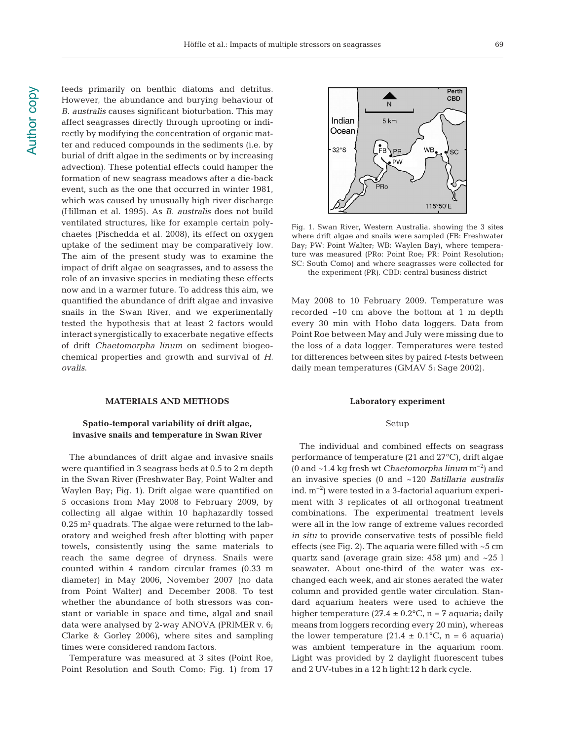feeds primarily on benthic diatoms and detritus. However, the abundance and burying behaviour of *B. australis* causes significant bioturbation. This may affect seagrasses directly through uprooting or indirectly by modifying the concentration of organic matter and reduced compounds in the sediments (i.e. by burial of drift algae in the sediments or by increasing advection). These potential effects could hamper the formation of new seagrass meadows after a die-back event, such as the one that occurred in winter 1981, which was caused by unusually high river discharge (Hillman et al. 1995). As *B. australis* does not build ventilated structures, like for example certain polychaetes (Pischedda et al. 2008), its effect on oxygen uptake of the sediment may be comparatively low. The aim of the present study was to examine the impact of drift algae on seagrasses, and to assess the role of an invasive species in mediating these effects now and in a warmer future. To address this aim, we quantified the abundance of drift algae and invasive snails in the Swan River, and we experimentally tested the hypothesis that at least 2 factors would interact synergistically to exacerbate negative effects of drift *Chaetomorpha linum* on sediment biogeochemical properties and growth and survival of *H. ovalis*.

#### **MATERIALS AND METHODS**

# **Spatio-temporal variability of drift algae, invasive snails and temperature in Swan River**

The abundances of drift algae and invasive snails were quantified in 3 seagrass beds at 0.5 to 2 m depth in the Swan River (Freshwater Bay, Point Walter and Waylen Bay; Fig. 1). Drift algae were quantified on 5 occasions from May 2008 to February 2009, by collecting all algae within 10 haphazardly tossed 0.25 m² quadrats. The algae were returned to the laboratory and weighed fresh after blotting with paper towels, consistently using the same materials to reach the same degree of dryness. Snails were counted within 4 random circular frames (0.33 m diameter) in May 2006, November 2007 (no data from Point Walter) and December 2008. To test whether the abundance of both stressors was constant or variable in space and time, algal and snail data were analysed by 2-way ANOVA (PRIMER v. 6; Clarke & Gorley 2006), where sites and sampling times were considered random factors.

Temperature was measured at 3 sites (Point Roe, Point Resolution and South Como; Fig. 1) from 17



Fig. 1. Swan River, Western Australia, showing the 3 sites where drift algae and snails were sampled (FB: Freshwater Bay; PW: Point Walter; WB: Waylen Bay), where temperature was measured (PRo: Point Roe; PR: Point Resolution; SC: South Como) and where seagrasses were collected for the experiment (PR). CBD: central business district

May 2008 to 10 February 2009. Temperature was recorded ~10 cm above the bottom at 1 m depth every 30 min with Hobo data loggers. Data from Point Roe between May and July were missing due to the loss of a data logger. Temperatures were tested for differences between sites by paired *t*-tests be tween daily mean temperatures (GMAV 5; Sage 2002).

#### **Laboratory experiment**

#### Setup

The individual and combined effects on seagrass performance of temperature (21 and 27°C), drift algae (0 and ~1.4 kg fresh wt *Chaetomorpha linum* m−2) and an invasive species (0 and ~120 *Batillaria australis* ind. m−2) were tested in a 3-factorial aquarium experiment with 3 replicates of all orthogonal treatment combinations. The experimental treatment levels were all in the low range of extreme values recorded *in situ* to provide conservative tests of possible field effects (see Fig. 2). The aquaria were filled with ~5 cm quartz sand (average grain size: 458 μm) and ~25 l seawater. About one-third of the water was exchanged each week, and air stones aerated the water column and provided gentle water circulation. Standard aquarium heaters were used to achieve the higher temperature (27.4  $\pm$  0.2°C, n = 7 aquaria; daily means from loggers recording every 20 min), whereas the lower temperature  $(21.4 \pm 0.1^{\circ}C, n = 6$  aquaria) was ambient temperature in the aquarium room. Light was provided by 2 daylight fluorescent tubes and 2 UV-tubes in a 12 h light:12 h dark cycle.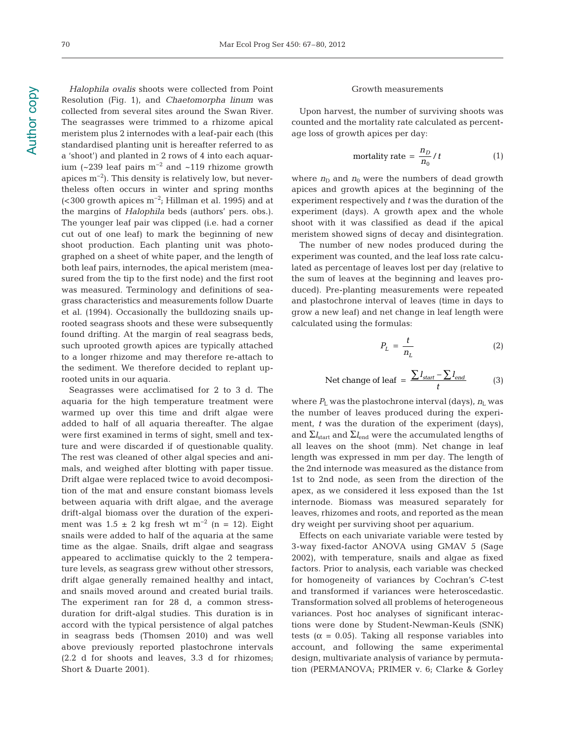*Halophila ovalis* shoots were collected from Point Resolution (Fig. 1), and *Chaetomorpha linum* was collected from several sites around the Swan River. The seagrasses were trimmed to a rhizome apical meristem plus 2 internodes with a leaf-pair each (this standardised planting unit is hereafter referred to as a 'shoot') and planted in 2 rows of 4 into each aquarium (~239 leaf pairs m−2 and ~119 rhizome growth apices m−2). This density is relatively low, but nevertheless often occurs in winter and spring months (< 300 growth apices m−2; Hillman et al. 1995) and at the margins of *Halophila* beds (authors' pers. obs.). The younger leaf pair was clipped (i.e. had a corner cut out of one leaf) to mark the beginning of new shoot production. Each planting unit was photographed on a sheet of white paper, and the length of both leaf pairs, internodes, the apical meristem (measured from the tip to the first node) and the first root was measured. Terminology and definitions of seagrass characteristics and measurements follow Duarte et al. (1994). Occasionally the bulldozing snails up rooted seagrass shoots and these were subsequently found drifting. At the margin of real seagrass beds, such uprooted growth apices are typically attached to a longer rhizome and may therefore re-attach to the sediment. We therefore decided to replant uprooted units in our aquaria.

Seagrasses were acclimatised for 2 to 3 d. The aquaria for the high temperature treatment were warmed up over this time and drift algae were added to half of all aquaria thereafter. The algae were first examined in terms of sight, smell and texture and were discarded if of questionable quality. The rest was cleaned of other algal species and animals, and weighed after blotting with paper tissue. Drift algae were replaced twice to avoid decomposition of the mat and ensure constant biomass levels between aquaria with drift algae, and the average drift-algal biomass over the duration of the experiment was  $1.5 \pm 2$  kg fresh wt m<sup>-2</sup> (n = 12). Eight snails were added to half of the aquaria at the same time as the algae. Snails, drift algae and seagrass appeared to acclimatise quickly to the 2 temperature levels, as seagrass grew without other stressors, drift algae generally remained healthy and intact, and snails moved around and created burial trails. The experiment ran for 28 d, a common stressduration for drift-algal studies. This duration is in accord with the typical persistence of algal patches in seagrass beds (Thomsen 2010) and was well above previously reported plastochrone intervals (2.2 d for shoots and leaves, 3.3 d for rhizomes; Short & Duarte 2001).

#### Growth measurements

Upon harvest, the number of surviving shoots was counted and the mortality rate calculated as percentage loss of growth apices per day:

$$
mortality rate = \frac{n_D}{n_0} / t \tag{1}
$$

where  $n<sub>D</sub>$  and  $n<sub>0</sub>$  were the numbers of dead growth apices and growth apices at the beginning of the experiment respectively and *t* was the duration of the experiment (days). A growth apex and the whole shoot with it was classified as dead if the apical meristem showed signs of decay and disintegration.

The number of new nodes produced during the experiment was counted, and the leaf loss rate calculated as percentage of leaves lost per day (relative to the sum of leaves at the beginning and leaves produced). Pre-planting measurements were repeated and plastochrone interval of leaves (time in days to grow a new leaf) and net change in leaf length were calculated using the formulas:

$$
P_L = \frac{t}{n_L} \tag{2}
$$

$$
\text{Net change of leaf} = \frac{\sum l_{start} - \sum l_{end}}{t} \tag{3}
$$

where  $P_{\text{I}}$  was the plastochrone interval (days),  $n_{\text{I}}$  was the number of leaves produced during the experiment, *t* was the duration of the experiment (days), and  $\Sigma l_{\text{start}}$  and  $\Sigma l_{\text{end}}$  were the accumulated lengths of all leaves on the shoot (mm). Net change in leaf length was expressed in mm per day. The length of the 2nd internode was measured as the distance from 1st to 2nd node, as seen from the direction of the apex, as we considered it less exposed than the 1st internode. Biomass was measured separately for leaves, rhizomes and roots, and reported as the mean dry weight per surviving shoot per aquarium.

Effects on each univariate variable were tested by 3-way fixed-factor ANOVA using GMAV 5 (Sage 2002), with temperature, snails and algae as fixed factors. Prior to analysis, each variable was checked for homogeneity of variances by Cochran's *C*-test and transformed if variances were heteroscedastic. Transformation solved all problems of heterogeneous variances. Post hoc analyses of significant interactions were done by Student-Newman-Keuls (SNK) tests ( $\alpha$  = 0.05). Taking all response variables into account, and following the same experimental design, multivariate analysis of variance by permutation (PERMANOVA; PRIMER v. 6; Clarke & Gorley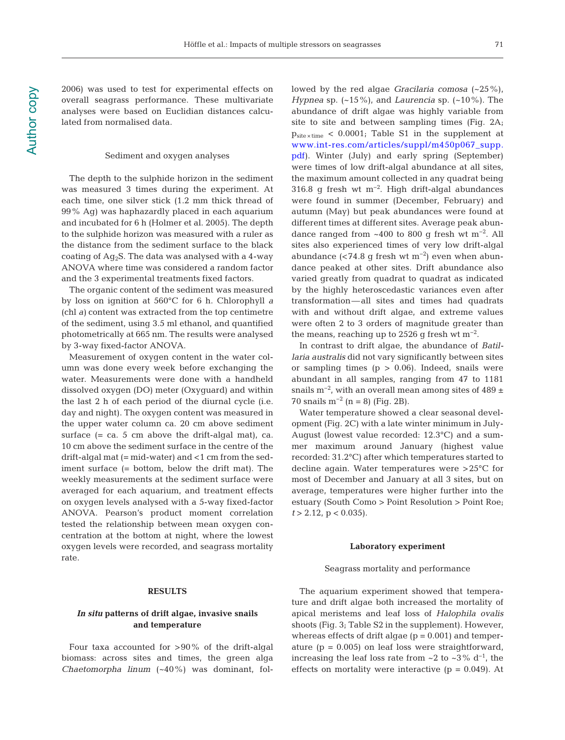2006) was used to test for experimental effects on overall seagrass performance. These multivariate analyses were based on Euclidian distances calculated from normalised data.

## Sediment and oxygen analyses

The depth to the sulphide horizon in the sediment was measured 3 times during the experiment. At each time, one silver stick (1.2 mm thick thread of 99% Ag) was haphazardly placed in each aquarium and incubated for 6 h (Holmer et al. 2005). The depth to the sulphide horizon was measured with a ruler as the distance from the sediment surface to the black coating of  $Aq_2S$ . The data was analysed with a 4-way ANOVA where time was considered a random factor and the 3 experimental treatments fixed factors.

The organic content of the sediment was measured by loss on ignition at 560°C for 6 h. Chlorophyll *a* (chl *a)* content was extracted from the top centimetre of the sediment, using 3.5 ml ethanol, and quantified photometrically at 665 nm. The results were analysed by 3-way fixed-factor ANOVA.

Measurement of oxygen content in the water column was done every week before exchanging the water. Measurements were done with a handheld dissolved oxygen (DO) meter (Oxyguard) and within the last 2 h of each period of the diurnal cycle (i.e. day and night). The oxygen content was measured in the upper water column ca. 20 cm above sediment surface  $(= ca. 5 cm above the drift- $alqal$  mat)$ , ca. 10 cm above the sediment surface in the centre of the drift-algal mat (= mid-water) and <1 cm from the sediment surface (= bottom, below the drift mat). The weekly measurements at the sediment surface were averaged for each aquarium, and treatment effects on oxygen levels analysed with a 5-way fixed-factor ANOVA. Pearson's product moment correlation tested the relationship between mean oxygen concentration at the bottom at night, where the lowest oxygen levels were recorded, and seagrass mortality rate.

# **RESULTS**

# *In situ* **patterns of drift algae, invasive snails and temperature**

Four taxa accounted for  $>90\%$  of the drift-algal biomass: across sites and times, the green alga *Chaetomorpha linum* (~40%) was dominant, followed by the red algae *Gracilaria comosa* (~25%), *Hypnea* sp. (~15%), and *Laurencia* sp. (~10%). The abundance of drift algae was highly variable from site to site and between sampling times (Fig. 2A;  $p_{\text{site} \times \text{time}}$  < 0.0001; Table S1 in the supplement at www.int-res.com/articles/suppl/m450p067\_supp. [pdf\).](http://www.int-res.com/articles/suppl/m450p067_supp.pdf) Winter (July) and early spring (September) were times of low drift-algal abundance at all sites, the maximum amount collected in any quadrat being 316.8 g fresh wt m−2. High drift-algal abundances were found in summer (December, February) and autumn (May) but peak abundances were found at different times at different sites. Average peak abundance ranged from ~400 to 800 g fresh wt m−2. All sites also experienced times of very low drift-algal abundance (<74.8 g fresh wt m<sup>-2</sup>) even when abundance peaked at other sites. Drift abundance also varied greatly from quadrat to quadrat as indicated by the highly heteroscedastic variances even after transformation— all sites and times had quadrats with and without drift algae, and extreme values were often 2 to 3 orders of magnitude greater than the means, reaching up to 2526 g fresh wt  $m^{-2}$ .

In contrast to drift algae, the abundance of *Batillaria australis* did not vary significantly between sites or sampling times  $(p > 0.06)$ . Indeed, snails were abundant in all samples, ranging from 47 to 1181 snails m<sup>-2</sup>, with an overall mean among sites of 489 ± 70 snails m<sup>-2</sup> (n = 8) (Fig. 2B).

Water temperature showed a clear seasonal development (Fig. 2C) with a late winter minimum in July-August (lowest value recorded: 12.3°C) and a summer maximum around January (highest value recorded: 31.2°C) after which temperatures started to decline again. Water temperatures were > 25°C for most of December and January at all 3 sites, but on average, temperatures were higher further into the estuary (South Como > Point Resolution > Point Roe;  $t > 2.12$ ,  $p < 0.035$ ).

## **Laboratory experiment**

#### Seagrass mortality and performance

The aquarium experiment showed that temperature and drift algae both increased the mortality of apical meristems and leaf loss of *Halophila ovalis* shoots (Fig. 3; Table S2 in the supplement). However, whereas effects of drift algae  $(p = 0.001)$  and temperature ( $p = 0.005$ ) on leaf loss were straightforward, increasing the leaf loss rate from  $\sim$ 2 to  $\sim$ 3% d<sup>-1</sup>, the effects on mortality were interactive  $(p = 0.049)$ . At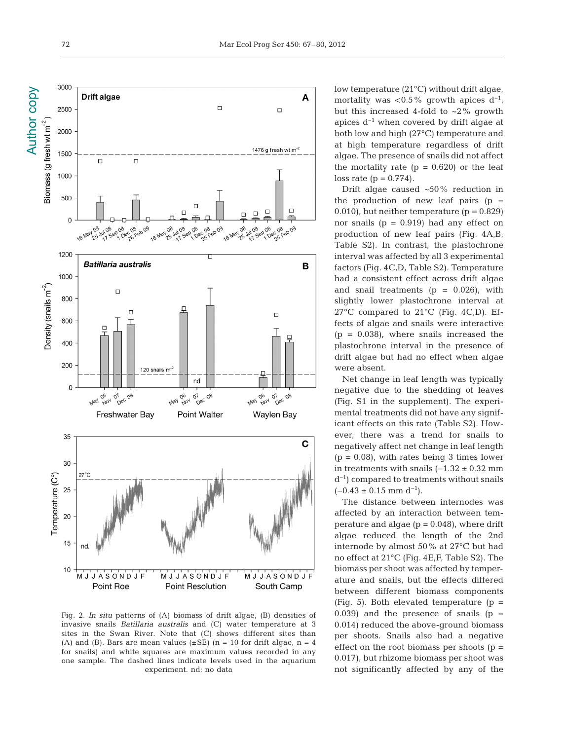

Fig. 2. *In situ* patterns of (A) biomass of drift algae, (B) densities of invasive snails *Batillaria australis* and (C) water temperature at 3 sites in the Swan River. Note that (C) shows different sites than (A) and (B). Bars are mean values ( $\pm$ SE) (n = 10 for drift algae, n = 4 for snails) and white squares are maximum values recorded in any one sample. The dashed lines indicate levels used in the aquarium experiment. nd: no data

low temperature (21°C) without drift algae, mortality was < $0.5\%$  growth apices d<sup>-1</sup>, but this increased 4-fold to  $\sim$ 2% growth apices  $d^{-1}$  when covered by drift algae at both low and high (27°C) temperature and at high temperature regardless of drift algae. The presence of snails did not affect the mortality rate  $(p = 0.620)$  or the leaf loss rate  $(p = 0.774)$ .

Drift algae caused ~50% reduction in the production of new leaf pairs  $(p =$ 0.010), but neither temperature  $(p = 0.829)$ nor snails  $(p = 0.919)$  had any effect on production of new leaf pairs (Fig. 4A,B, Table S2). In contrast, the plastochrone interval was affected by all 3 experimental factors (Fig. 4C,D, Table S2). Temperature had a consistent effect across drift algae and snail treatments  $(p = 0.026)$ , with slightly lower plastochrone interval at 27°C compared to 21°C (Fig. 4C,D). Ef fects of algae and snails were interactive  $(p = 0.038)$ , where snails increased the plastochrone interval in the presence of drift algae but had no effect when algae were absent.

Net change in leaf length was typically negative due to the shedding of leaves (Fig. S1 in the supplement). The experimental treatments did not have any significant effects on this rate (Table S2). However, there was a trend for snails to negatively affect net change in leaf length  $(p = 0.08)$ , with rates being 3 times lower in treatments with snails  $(-1.32 \pm 0.32 \text{ mm})$ d−1) compared to treatments without snails  $(-0.43 \pm 0.15 \text{ mm d}^{-1}).$ 

The distance between internodes was affected by an interaction between temperature and algae  $(p = 0.048)$ , where drift algae reduced the length of the 2nd internode by almost 50% at 27°C but had no effect at 21°C (Fig. 4E,F, Table S2). The biomass per shoot was affected by temperature and snails, but the effects differed between different biomass components (Fig. 5). Both elevated temperature  $(p =$ 0.039) and the presence of snails  $(p =$ 0.014) reduced the above-ground biomass per shoots. Snails also had a negative effect on the root biomass per shoots  $(p =$ 0.017), but rhizome biomass per shoot was not significantly affected by any of the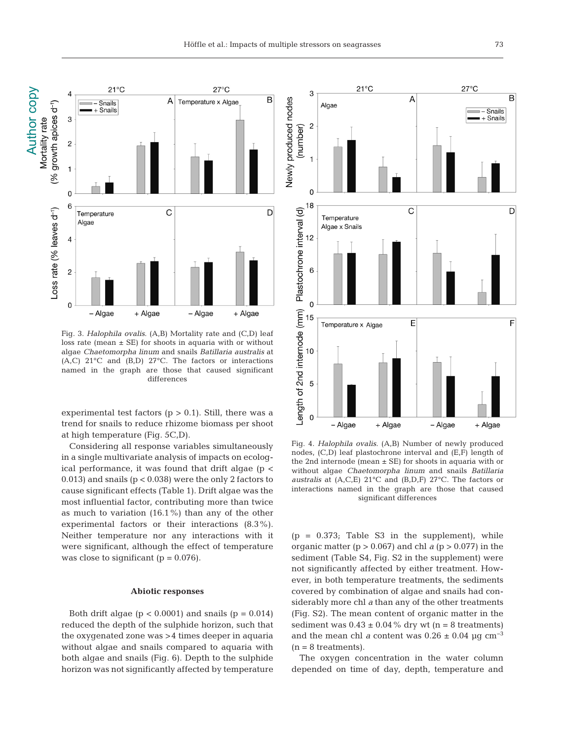

Fig. 3. *Halophila ovalis*. (A,B) Mortality rate and (C,D) leaf loss rate (mean  $\pm$  SE) for shoots in aquaria with or without algae *Chaetomorpha linum* and snails *Batillaria australis* at  $(A, C)$  21°C and  $(B, D)$  27°C. The factors or interactions named in the graph are those that caused significant differences

experimental test factors  $(p > 0.1)$ . Still, there was a trend for snails to reduce rhizome biomass per shoot at high temperature (Fig. 5C,D).

Considering all response variables simultaneously in a single multivariate analysis of impacts on ecological performance, it was found that drift algae ( $p <$ 0.013) and snails (p < 0.038) were the only 2 factors to cause significant effects (Table 1). Drift algae was the most influential factor, contributing more than twice as much to variation (16.1%) than any of the other experimental factors or their interactions (8.3%). Neither temperature nor any interactions with it were significant, although the effect of temperature was close to significant  $(p = 0.076)$ .

#### **Abiotic responses**

Both drift algae ( $p < 0.0001$ ) and snails ( $p = 0.014$ ) reduced the depth of the sulphide horizon, such that the oxygenated zone was > 4 times deeper in aquaria without algae and snails compared to aquaria with both algae and snails (Fig. 6). Depth to the sulphide horizon was not significantly affected by temperature



Fig. 4. *Halophila ovalis*. (A,B) Number of newly produced nodes, (C,D) leaf plastochrone interval and (E,F) length of the 2nd internode (mean  $\pm$  SE) for shoots in aquaria with or without algae *Chaetomorpha linum* and snails *Batillaria australis* at (A,C,E) 21°C and (B,D,F) 27°C. The factors or interactions named in the graph are those that caused significant differences

 $(p = 0.373;$  Table S3 in the supplement), while organic matter  $(p > 0.067)$  and chl *a*  $(p > 0.077)$  in the sediment (Table S4, Fig. S2 in the supplement) were not significantly affected by either treatment. However, in both temperature treatments, the sediments covered by combination of algae and snails had considerably more chl *a* than any of the other treatments (Fig. S2). The mean content of organic matter in the sediment was  $0.43 \pm 0.04\%$  dry wt (n = 8 treatments) and the mean chl *a* content was  $0.26 \pm 0.04$  µg cm<sup>-3</sup>  $(n = 8$  treatments).

The oxygen concentration in the water column depended on time of day, depth, temperature and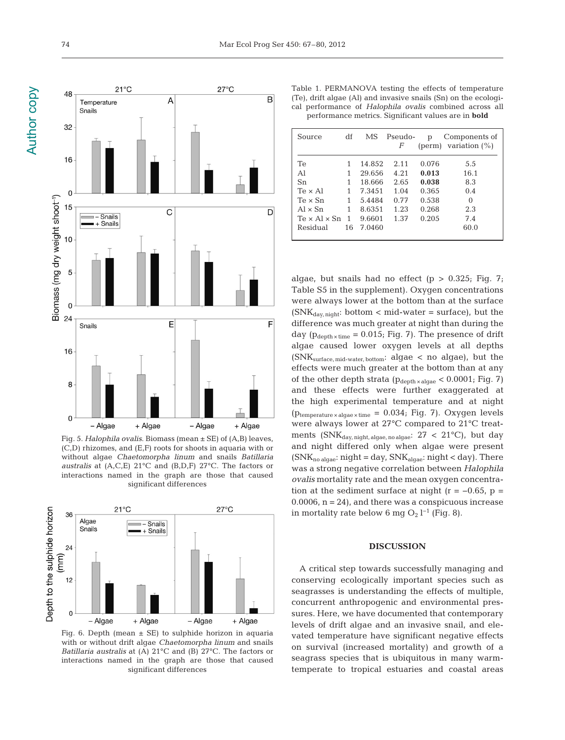



Fig. 5. *Halophila ovalis*. Biomass (mean ± SE) of (A,B) leaves, (C,D) rhizomes, and (E,F) roots for shoots in aquaria with or without algae *Chaetomorpha linum* and snails *Batillaria australis* at (A,C,E) 21°C and (B,D,F) 27°C. The factors or interactions named in the graph are those that caused significant differences



Fig. 6. Depth (mean  $\pm$  SE) to sulphide horizon in aquaria with or without drift algae *Chaetomorpha linum* and snails *Batillaria australis* at (A) 21°C and (B) 27°C. The factors or interactions named in the graph are those that caused significant differences

Table 1. PERMANOVA testing the effects of temperature (Te), drift algae (Al) and invasive snails (Sn) on the ecological performance of *Halophila ovalis* combined across all performance metrics. Significant values are in **bold**

| Source                   | df | МS     | Pseudo-<br>F | р     | Components of<br>(perm) variation $(\%)$ |
|--------------------------|----|--------|--------------|-------|------------------------------------------|
| Тe                       |    | 14.852 | 2.11         | 0.076 | 5.5                                      |
| Αl                       |    | 29.656 | 4.21         | 0.013 | 16.1                                     |
| Sn                       |    | 18.666 | 2.65         | 0.038 | 8.3                                      |
| $Te \times AI$           | 1  | 7.3451 | 1.04         | 0.365 | 0.4                                      |
| $Te \times Sn$           | 1  | 5.4484 | 0.77         | 0.538 | $\Omega$                                 |
| $Al \times Sn$           | 1  | 8.6351 | 1.23         | 0.268 | 2.3                                      |
| $Te \times Al \times Sn$ | -1 | 9.6601 | 1.37         | 0.205 | 7.4                                      |
| Residual                 | 16 | 7.0460 |              |       | 60.0                                     |

algae, but snails had no effect ( $p > 0.325$ ; Fig. 7; Table S5 in the supplement). Oxygen concentrations were always lower at the bottom than at the surface  $(SNK<sub>day, night</sub>: bottom < mid-water = surface)$ , but the difference was much greater at night than during the day ( $p_{\text{depth} \times \text{time}} = 0.015$ ; Fig. 7). The presence of drift algae caused lower oxygen levels at all depths (SNKsurface, mid-water, bottom: algae < no algae), but the effects were much greater at the bottom than at any of the other depth strata ( $p_{\text{depth} \times \text{algae}} < 0.0001$ ; Fig. 7) and these effects were further exaggerated at the high experimental temperature and at night ( $p_{temperature \times algebra}$  = 0.034; Fig. 7). Oxygen levels were always lower at 27°C compared to 21°C treatments ( $\text{SNK}_{\text{day, night, algae, no algae:}}$  27 < 21°C), but day and night differed only when algae were present  $(SNK_{no\ algebra}:night = day, SNK_{algae}: night < day)$ . There was a strong negative correlation between *Halophila ovalis* mortality rate and the mean oxygen concentration at the sediment surface at night ( $r = -0.65$ ,  $p =$  $0.0006$ ,  $n = 24$ ), and there was a conspicuous increase in mortality rate below 6 mg O<sub>2</sub> l<sup>-1</sup> (Fig. 8).

## **DISCUSSION**

A critical step towards successfully managing and conserving ecologically important species such as seagrasses is understanding the effects of multiple, concurrent anthropogenic and environmental pressures. Here, we have documented that contemporary levels of drift algae and an invasive snail, and elevated temperature have significant negative effects on survival (increased mortality) and growth of a seagrass species that is ubiquitous in many warmtemperate to tropical estuaries and coastal areas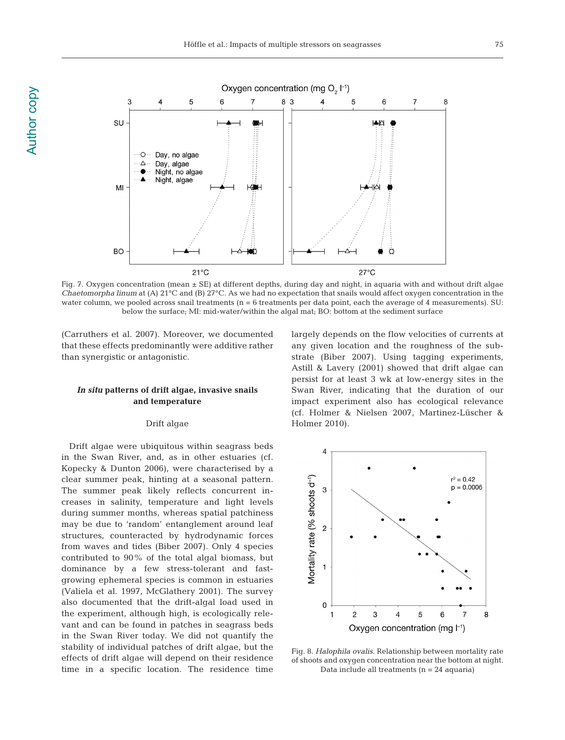

Author copy

**Author copy** 



Fig. 7. Oxygen concentration (mean ± SE) at different depths, during day and night, in aquaria with and without drift algae *Chaetomorpha linum* at (A) 21°C and (B) 27°C. As we had no expectation that snails would affect oxygen concentration in the water column, we pooled across snail treatments ( $n = 6$  treatments per data point, each the average of 4 measurements). SU: below the surface; MI: mid-water/within the algal mat; BO: bottom at the sediment surface

(Carruthers et al. 2007). Moreover, we documented that these effects predominantly were additive rather than synergistic or antagonistic.

# *In situ* **patterns of drift algae, invasive snails and temperature**

# Drift algae

Drift algae were ubiquitous within seagrass beds in the Swan River, and, as in other estuaries (cf. Kopecky & Dunton 2006), were characterised by a clear summer peak, hinting at a seasonal pattern. The summer peak likely reflects concurrent increases in salinity, temperature and light levels during summer months, whereas spatial patchiness may be due to 'random' entanglement around leaf structures, counteracted by hydrodynamic forces from waves and tides (Biber 2007). Only 4 species contributed to 90% of the total algal biomass, but dominance by a few stress-tolerant and fastgrowing ephemeral species is common in estuaries (Valiela et al. 1997, McGlathery 2001). The survey also documented that the drift-algal load used in the experiment, although high, is ecologically relevant and can be found in patches in seagrass beds in the Swan River today. We did not quantify the stability of individual patches of drift algae, but the effects of drift algae will depend on their residence time in a specific location. The residence time largely depends on the flow velocities of currents at any given location and the roughness of the substrate (Biber 2007). Using tagging experiments, Astill & Lavery (2001) showed that drift algae can persist for at least 3 wk at low-energy sites in the Swan River, indicating that the duration of our impact experiment also has ecological relevance (cf. Holmer & Nielsen 2007, Martinez-Lüscher & Holmer 2010).



Fig. 8. *Halophila ovalis*. Relationship between mortality rate of shoots and oxygen concentration near the bottom at night. Data include all treatments (n = 24 aquaria)

8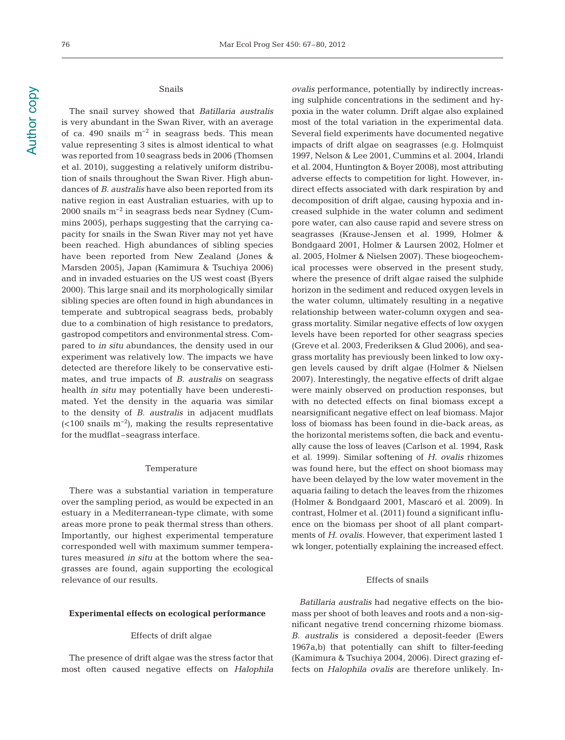Author copy Author copy

# Snails

The snail survey showed that *Batillaria australis* is very abundant in the Swan River, with an average of ca. 490 snails m−2 in seagrass beds. This mean value representing 3 sites is almost identical to what was reported from 10 seagrass beds in 2006 (Thomsen et al. 2010), suggesting a relatively uniform distribution of snails throughout the Swan River. High abundances of *B. australis* have also been reported from its native region in east Australian estuaries, with up to 2000 snails m−2 in seagrass beds near Sydney (Cummins 2005), perhaps suggesting that the carrying capacity for snails in the Swan River may not yet have been reached. High abundances of sibling species have been reported from New Zealand (Jones & Marsden 2005), Japan (Kamimura & Tsuchiya 2006) and in invaded estuaries on the US west coast (Byers 2000). This large snail and its morphologically similar sibling species are often found in high abundances in temperate and subtropical seagrass beds, probably due to a combination of high resistance to predators, gastropod competitors and environmental stress. Com pared to *in situ* abundances, the density used in our experiment was relatively low. The impacts we have detected are therefore likely to be conservative estimates, and true impacts of *B. australis* on seagrass health *in situ* may potentially have been underestimated. Yet the density in the aquaria was similar to the density of *B. australis* in adjacent mudflats  $(<100$  snails m<sup>-2</sup>), making the results representative for the mudflat –seagrass interface.

#### Temperature

There was a substantial variation in temperature over the sampling period, as would be expected in an estuary in a Mediterranean-type climate, with some areas more prone to peak thermal stress than others. Importantly, our highest experimental temperature corresponded well with maximum summer temperatures measured *in situ* at the bottom where the seagrasses are found, again supporting the ecological relevance of our results.

# **Experimental effects on ecological performance**

#### Effects of drift algae

The presence of drift algae was the stress factor that most often caused negative effects on *Halophila*  *ovalis* performance, potentially by indirectly increasing sulphide concentrations in the sediment and hypoxia in the water column. Drift algae also explained most of the total variation in the experimental data. Several field experiments have documented negative impacts of drift algae on seagrasses (e.g. Holmquist 1997, Nelson & Lee 2001, Cummins et al. 2004, Irlandi et al. 2004, Huntington & Boyer 2008), most attributing adverse effects to competition for light. However, indirect effects associated with dark respiration by and decomposition of drift algae, causing hypoxia and increased sulphide in the water column and sediment pore water, can also cause rapid and severe stress on seagrasses (Krause-Jensen et al. 1999, Holmer & Bondgaard 2001, Holmer & Laursen 2002, Holmer et al. 2005, Holmer & Nielsen 2007). These biogeochemical processes were observed in the present study, where the presence of drift algae raised the sulphide horizon in the sediment and reduced oxygen levels in the water column, ultimately resulting in a negative relationship between water-column oxygen and seagrass mortality. Similar negative effects of low oxygen levels have been reported for other seagrass species (Greve et al. 2003, Frederiksen & Glud 2006), and seagrass mortality has previously been linked to low oxygen levels caused by drift algae (Holmer & Nielsen 2007). Interestingly, the negative effects of drift algae were mainly observed on production responses, but with no detected effects on final biomass except a near significant negative effect on leaf biomass. Major loss of biomass has been found in die-back areas, as the horizontal meristems soften, die back and eventually cause the loss of leaves (Carlson et al. 1994, Rask et al. 1999). Similar softening of *H. ovalis* rhizomes was found here, but the effect on shoot biomass may have been delayed by the low water movement in the aquaria failing to detach the leaves from the rhizomes (Holmer & Bondgaard 2001, Mascaró et al. 2009). In contrast, Holmer et al. (2011) found a significant influence on the biomass per shoot of all plant compartments of *H. ovalis*. However, that experiment lasted 1 wk longer, potentially explaining the increased effect.

## Effects of snails

*Batillaria australis* had negative effects on the biomass per shoot of both leaves and roots and a non-significant negative trend concerning rhizome biomass. *B. australis* is considered a deposit-feeder (Ewers 1967a,b) that potentially can shift to filter-feeding (Kamimura & Tsuchiya 2004, 2006). Direct grazing effects on *Halophila ovalis* are therefore unlikely. In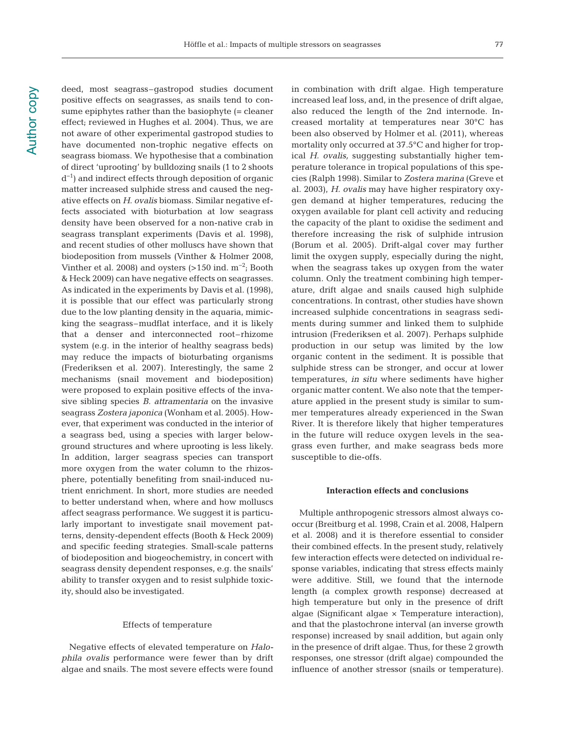deed, most seagrass–gastropod studies document positive effects on seagrasses, as snails tend to consume epiphytes rather than the basiophyte (= cleaner effect; reviewed in Hughes et al. 2004). Thus, we are not aware of other experimental gastropod studies to have documented non-trophic negative effects on seagrass biomass. We hypothesise that a combination of direct 'uprooting' by bulldozing snails (1 to 2 shoots d−1) and indirect effects through deposition of organic matter increased sulphide stress and caused the negative effects on *H. ovalis* biomass. Similar negative effects associated with bioturbation at low seagrass density have been observed for a non-native crab in seagrass transplant experiments (Davis et al. 1998), and recent studies of other molluscs have shown that biodeposition from mussels (Vinther & Holmer 2008, Vinther et al. 2008) and oysters (>150 ind.  $m^{-2}$ ; Booth & Heck 2009) can have negative effects on seagrasses. As indicated in the experiments by Davis et al. (1998), it is possible that our effect was particularly strong due to the low planting density in the aquaria, mimicking the seagrass–mudflat interface, and it is likely that a denser and interconnected root-rhizome system (e.g. in the interior of healthy seagrass beds) may reduce the impacts of bioturbating organisms (Frederiksen et al. 2007). Interestingly, the same 2 mechanisms (snail movement and biodeposition) were proposed to explain positive effects of the invasive sibling species *B. attramentaria* on the invasive seagrass *Zostera japonica* (Wonham et al. 2005). However, that experiment was conducted in the interior of a seagrass bed, using a species with larger belowground structures and where uprooting is less likely. In addition, larger seagrass species can transport more oxygen from the water column to the rhizosphere, potentially benefiting from snail-induced nutrient enrichment. In short, more studies are needed to better understand when, where and how molluscs affect seagrass performance. We suggest it is particularly important to investigate snail movement patterns, density-dependent effects (Booth & Heck 2009) and specific feeding strategies. Small-scale patterns of biodeposition and biogeochemistry, in concert with seagrass density dependent responses, e.g. the snails' ability to transfer oxygen and to resist sulphide toxicity, should also be investigated.

## Effects of temperature

Negative effects of elevated temperature on *Halo phila ovalis* performance were fewer than by drift algae and snails. The most severe effects were found

in combination with drift algae. High temperature increased leaf loss, and, in the presence of drift algae, also reduced the length of the 2nd internode. Increased mortality at temperatures near 30°C has been also observed by Holmer et al. (2011), whereas mortality only occurred at 37.5°C and higher for tropical *H. ovalis,* suggesting substantially higher temperature tolerance in tropical populations of this species (Ralph 1998). Similar to *Zostera marina* (Greve et al. 2003), *H. ovalis* may have higher respiratory oxygen demand at higher temperatures, reducing the oxygen available for plant cell activity and reducing the capacity of the plant to oxidise the sediment and therefore increasing the risk of sulphide intrusion (Borum et al. 2005). Drift-algal cover may further limit the oxygen supply, especially during the night, when the seagrass takes up oxygen from the water column. Only the treatment combining high temperature, drift algae and snails caused high sulphide concentrations. In contrast, other studies have shown increased sulphide concentrations in seagrass sediments during summer and linked them to sulphide intrusion (Frederiksen et al. 2007). Perhaps sulphide production in our setup was limited by the low organic content in the sediment. It is possible that sulphide stress can be stronger, and occur at lower temperatures, *in situ* where sediments have higher organic matter content. We also note that the temperature applied in the present study is similar to summer temperatures already experienced in the Swan River. It is therefore likely that higher temperatures in the future will reduce oxygen levels in the seagrass even further, and make seagrass beds more susceptible to die-offs.

# **Interaction effects and conclusions**

Multiple anthropogenic stressors almost always cooccur (Breitburg et al. 1998, Crain et al. 2008, Halpern et al. 2008) and it is therefore essential to consider their combined effects. In the present study, relatively few interaction effects were detected on individual response variables, indicating that stress effects mainly were additive. Still, we found that the internode length (a complex growth response) decreased at high temperature but only in the presence of drift algae (Significant algae × Temperature interaction), and that the plastochrone interval (an inverse growth response) increased by snail addition, but again only in the presence of drift algae. Thus, for these 2 growth responses, one stressor (drift algae) compounded the influence of another stressor (snails or temperature).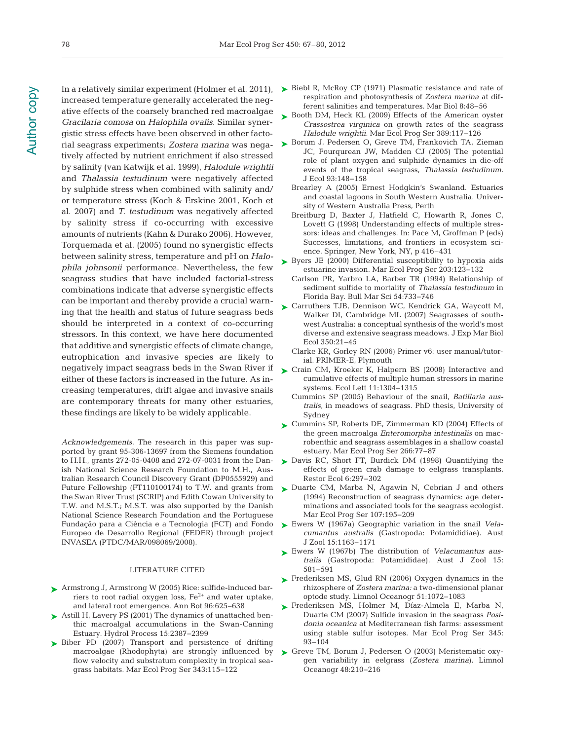increased temperature generally accelerated the negative effects of the coarsely branched red macroalgae *Gracilaria comosa* on *Halophila ovalis*. Similar synergistic stress effects have been observed in other factorial seagrass experiments; *Zostera marina* was negatively affected by nutrient enrichment if also stressed by salinity (van Katwijk et al. 1999), *Halodule wrightii* and *Thalassia testudinum* were negatively affected by sulphide stress when combined with salinity and/ or temperature stress (Koch & Erskine 2001, Koch et al. 2007) and *T. testudinum* was negatively affected by salinity stress if co-occurring with excessive amounts of nutrients (Kahn & Durako 2006). However, Torquemada et al. (2005) found no synergistic effects be tween salinity stress, temperature and pH on *Halo phila johnsonii* performance. Nevertheless, the few seagrass studies that have included factorial-stress combinations indicate that adverse synergistic effects can be important and thereby provide a crucial warning that the health and status of future seagrass beds should be interpreted in a context of co-occurring stressors. In this context, we have here documented that additive and synergistic effects of climate change, eutrophication and invasive species are likely to negatively impact seagrass beds in the Swan River if Crain CM, Kroeker K, Halpern BS (2008) Interactive and ➤ either of these factors is increased in the future. As increasing temperatures, drift algae and invasive snails are contemporary threats for many other estuaries, these findings are likely to be widely applicable.

*Acknowledgements*. The research in this paper was supported by grant 95-306-13697 from the Siemens foundation to H.H., grants 272-05-0408 and 272-07-0031 from the Danish National Science Research Foundation to M.H., Australian Research Council Discovery Grant (DP0555929) and the Swan River Trust (SCRIP) and Edith Cowan University to T.W. and M.S.T.; M.S.T. was also supported by the Danish National Science Research Foundation and the Portuguese Fundação para a Ciência e a Tecnologia (FCT) and Fondo Europeo de Desarrollo Regional (FEDER) through project INVASEA (PTDC/MAR/098069/2008).

#### LITERATURE CITED

- ▶ Armstrong J, Armstrong W (2005) Rice: sulfide-induced barriers to root radial oxygen loss,  $Fe^{2+}$  and water uptake, and lateral root emergence. Ann Bot 96:625-638
- ► Astill H, Lavery PS (2001) The dynamics of unattached benthic macroalgal accumulations in the Swan-Canning Estuary. Hydrol Process 15: 2387−2399
- ▶ Biber PD (2007) Transport and persistence of drifting macroalgae (Rhodophyta) are strongly influenced by flow velocity and substratum complexity in tropical seagrass habitats. Mar Ecol Prog Ser 343: 115−122
- In a relatively similar experiment (Holmer et al. 2011), Biebl R, McRoy CP (1971) Plasmatic resistance and rate of ➤ respiration and photosynthesis of *Zostera marina* at different salinities and temperatures. Mar Biol 8:48-56
	- ► Booth DM, Heck KL (2009) Effects of the American oyster *Crassostrea virginica* on growth rates of the seagrass *Halodule wrightii.* Mar Ecol Prog Ser 389: 117−126
	- ► Borum J, Pedersen O, Greve TM, Frankovich TA, Zieman JC, Fourqurean JW, Madden CJ (2005) The potential role of plant oxygen and sulphide dynamics in die-off events of the tropical seagrass, *Thalassia testudinum.* J Ecol 93: 148−158
		- Brearley A (2005) Ernest Hodgkin's Swanland. Estuaries and coastal lagoons in South Western Australia. University of Western Australia Press, Perth
		- Breitburg D, Baxter J, Hatfield C, Howarth R, Jones C, Lovett G (1998) Understanding effects of multiple stressors: ideas and challenges. In: Pace M, Groffman P (eds) Successes, limitations, and frontiers in ecosystem science. Springer, New York, NY, p 416–431
	- ► Byers JE (2000) Differential susceptibility to hypoxia aids estuarine invasion. Mar Ecol Prog Ser 203: 123−132
		- Carlson PR, Yarbro LA, Barber TR (1994) Relationship of sediment sulfide to mortality of *Thalassia testudinum* in Florida Bay. Bull Mar Sci 54: 733−746
	- ► Carruthers TJB, Dennison WC, Kendrick GA, Waycott M, Walker DI, Cambridge ML (2007) Seagrasses of southwest Australia: a conceptual synthesis of the world's most diverse and extensive seagrass meadows. J Exp Mar Biol Ecol 350: 21−45
		- Clarke KR, Gorley RN (2006) Primer v6: user manual/tutorial. PRIMER-E, Plymouth
	- cumulative effects of multiple human stressors in marine systems. Ecol Lett 11: 1304−1315
	- Cummins SP (2005) Behaviour of the snail, *Batillaria australis*, in meadows of seagrass. PhD thesis, University of Sydney
	- ► Cummins SP, Roberts DE, Zimmerman KD (2004) Effects of the green macroalga *Enteromorpha intestinalis* on macrobenthic and seagrass assemblages in a shallow coastal estuary. Mar Ecol Prog Ser 266:77-87
	- ▶ Davis RC, Short FT, Burdick DM (1998) Quantifying the effects of green crab damage to eelgrass transplants. Restor Ecol 6: 297−302
- Future Fellowship (FT110100174) to T.W. and grants from  $\quadtriangleright$  Duarte CM, Marba N, Agawin N, Cebrian J and others (1994) Reconstruction of seagrass dynamics: age determinations and associated tools for the seagrass ecologist. Mar Ecol Prog Ser 107: 195−209
	- Ewers W (1967a) Geographic variation in the snail *Vela -* ➤ *cumantus australis* (Gastropoda: Potamididiae). Aust J Zool 15: 1163−1171
	- Ewers W (1967b) The distribution of *Velacumantus aus-*➤ tralis (Gastropoda: Potamididae). Aust J Zool 15: 581−591
	- ► Frederiksen MS, Glud RN (2006) Oxygen dynamics in the rhizosphere of *Zostera marina:* a two-dimensional planar optode study. Limnol Oceanogr 51: 1072−1083
	- Frederiksen MS, Holmer M, Díaz-Almela E, Marba N, ➤ Duarte CM (2007) Sulfide invasion in the seagrass *Posi*donia oceanica at Mediterranean fish farms: assessment using stable sulfur isotopes. Mar Ecol Prog Ser 345: 93−104
	- ► Greve TM, Borum J, Pedersen O (2003) Meristematic oxygen variability in eelgrass (*Zostera marina*). Limnol Oceanogr 48:210−216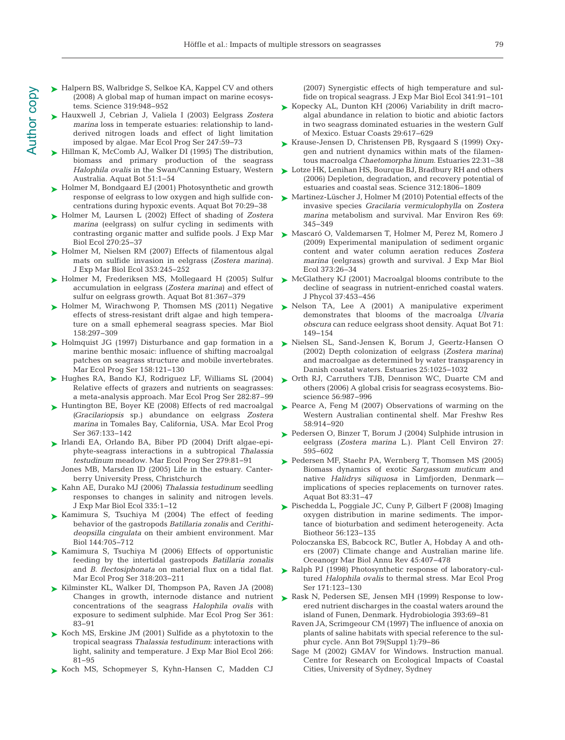- ► Halpern BS, Walbridge S, Selkoe KA, Kappel CV and others (2008) A global map of human impact on marine ecosystems. Science 319:948-952
- Hauxwell J, Cebrian J, Valiela I (2003) Eelgrass *Zostera* ➤ *marina* loss in temperate estuaries: relationship to landderived nitrogen loads and effect of light limitation imposed by algae. Mar Ecol Prog Ser 247:59-73
- ► Hillman K, McComb AJ, Walker DI (1995) The distribution, biomass and primary production of the seagrass *Halophila ovalis* in the Swan/Canning Estuary, Western Australia. Aquat Bot 51: 1−54
- ► Holmer M, Bondgaard EJ (2001) Photosynthetic and growth response of eelgrass to low oxygen and high sulfide concentrations during hypoxic events. Aquat Bot 70:29-38
- ► Holmer M, Laursen L (2002) Effect of shading of *Zostera marina* (eelgrass) on sulfur cycling in sediments with Biol Ecol 270:25-37
- ► Holmer M, Nielsen RM (2007) Effects of filamentous algal mats on sulfide invasion in eelgrass (*Zostera marina*). J Exp Mar Biol Ecol 353: 245−252
- ► Holmer M, Frederiksen MS, Mollegaard H (2005) Sulfur accumulation in eelgrass (*Zostera marina*) and effect of sulfur on eelgrass growth. Aquat Bot 81:367-379
- ► Holmer M, Wirachwong P, Thomsen MS (2011) Negative effects of stress-resistant drift algae and high temperature on a small ephemeral seagrass species. Mar Biol 158: 297−309
- ► Holmquist JG (1997) Disturbance and gap formation in a marine benthic mosaic: influence of shifting macroalgal patches on seagrass structure and mobile invertebrates. Mar Ecol Prog Ser 158: 121−130
- ▶ Hughes RA, Bando KJ, Rodriguez LF, Williams SL (2004) Relative effects of grazers and nutrients on seagrasses: a meta-analysis approach. Mar Ecol Prog Ser 282:87–99
- ► Huntington BE, Boyer KE (2008) Effects of red macroalgal *(Gracilariopsis* sp.) abundance on eelgrass *Zostera marina* in Tomales Bay, California, USA. Mar Ecol Prog Ser 367:133-142
- Irlandi EA, Orlando BA, Biber PD (2004) Drift algae-epi-➤ phyte-seagrass interactions in a subtropical *Thalassia testudinum* meadow. Mar Ecol Prog Ser 279:81-91
	- Jones MB, Marsden ID (2005) Life in the estuary. Canterberry University Press, Christchurch
- Kahn AE, Durako MJ (2006) *Thalassia testudinum* seedling ➤ responses to changes in salinity and nitrogen levels. J Exp Mar Biol Ecol 335: 1−12
- ► Kamimura S, Tsuchiya M (2004) The effect of feeding behavior of the gastropods *Batillaria zonalis* and *Cerithi deopsilla cingulata* on their ambient environment. Mar Biol 144:705-712
- ► Kamimura S, Tsuchiya M (2006) Effects of opportunistic feeding by the intertidal gastropods *Batillaria zonalis* and *B. flectosiphonata* on material flux on a tidal flat. Mar Ecol Prog Ser 318:203-211
- ► Kilminster KL, Walker DI, Thompson PA, Raven JA (2008) Changes in growth, internode distance and nutrient concentrations of the seagrass *Halophila ovalis* with exposure to sediment sulphide. Mar Ecol Prog Ser 361: 83−91
- ► Koch MS, Erskine JM (2001) Sulfide as a phytotoxin to the tropical seagrass *Thalassia testudinum*: interactions with light, salinity and temperature. J Exp Mar Biol Ecol 266: 81−95
- ► Koch MS, Schopmeyer S, Kyhn-Hansen C, Madden CJ

(2007) Synergistic effects of high temperature and sulfide on tropical seagrass. J Exp Mar Biol Ecol 341: 91−101

- ► Kopecky AL, Dunton KH (2006) Variability in drift macroalgal abundance in relation to biotic and abiotic factors in two seagrass dominated estuaries in the western Gulf of Mexico. Estuar Coasts 29: 617−629
- ► Krause-Jensen D, Christensen PB, Rysgaard S (1999) Oxygen and nutrient dynamics within mats of the filamentous macroalga *Chaetomorpha linum*. Estuaries 22: 31−38
- Lotze HK, Lenihan HS, Bourque BJ, Bradbury RH and others ➤ (2006) Depletion, degradation, and recovery potential of estuaries and coastal seas. Science 312: 1806−1809
- ► Martinez-Lüscher J, Holmer M (2010) Potential effects of the invasive species *Gracilaria vermiculophylla* on *Zostera marina* metabolism and survival. Mar Environ Res 69: 345−349
- contrasting organic matter and sulfide pools. J Exp Mar > Mascaró O, Valdemarsen T, Holmer M, Perez M, Romero J (2009) Experimental manipulation of sediment organic content and water column aeration reduces *Zostera marina* (eelgrass) growth and survival. J Exp Mar Biol Ecol 373: 26−34
	- ► McGlathery KJ (2001) Macroalgal blooms contribute to the decline of seagrass in nutrient-enriched coastal waters. J Phycol 37:453-456
	- ► Nelson TA, Lee A (2001) A manipulative experiment demonstrates that blooms of the macroalga *Ulvaria obscura* can reduce eelgrass shoot density. Aquat Bot 71: 149−154
	- Nielsen SL, Sand-Jensen K, Borum J, Geertz-Hansen O ➤ (2002) Depth colonization of eelgrass (*Zostera marina*) and macroalgae as determined by water transparency in Danish coastal waters. Estuaries 25: 1025−1032
	- ▶ Orth RJ, Carruthers TJB, Dennison WC, Duarte CM and others (2006) A global crisis for seagrass ecosystems. Bioscience 56:987-996
	- ▶ Pearce A, Feng M (2007) Observations of warming on the Western Australian continental shelf. Mar Freshw Res 58: 914−920
	- ► Pedersen O, Binzer T, Borum J (2004) Sulphide intrusion in eelgrass (*Zostera marina* L.). Plant Cell Environ 27: 595−602
	- ► Pedersen MF, Staehr PA, Wernberg T, Thomsen MS (2005) Biomass dynamics of exotic *Sargassum muticum* and native *Halidrys siliquosa* in Limfjorden, Denmark implications of species replacements on turnover rates. Aquat Bot 83:31–47
	- Pischedda L, Poggiale JC, Cuny P, Gilbert F (2008) Imaging ➤ oxygen distribution in marine sediments. The importance of bioturbation and sediment heterogeneity. Acta Biotheor 56:123-135
		- Poloczanska ES, Babcock RC, Butler A, Hobday A and others (2007) Climate change and Australian marine life. Oceanogr Mar Biol Annu Rev 45: 407−478
	- ► Ralph PJ (1998) Photosynthetic response of laboratory-cultured *Halophila ovalis* to thermal stress. Mar Ecol Prog Ser 171:123-130
	- ▶ Rask N, Pedersen SE, Jensen MH (1999) Response to lowered nutrient discharges in the coastal waters around the island of Funen, Denmark. Hydrobiologia 393: 69−81
		- Raven JA, Scrimgeour CM (1997) The influence of anoxia on plants of saline habitats with special reference to the sulphur cycle. Ann Bot 79(Suppl 1): 79−86
		- Sage M (2002) GMAV for Windows. Instruction manual. Centre for Research on Ecological Impacts of Coastal Cities, University of Sydney, Sydney